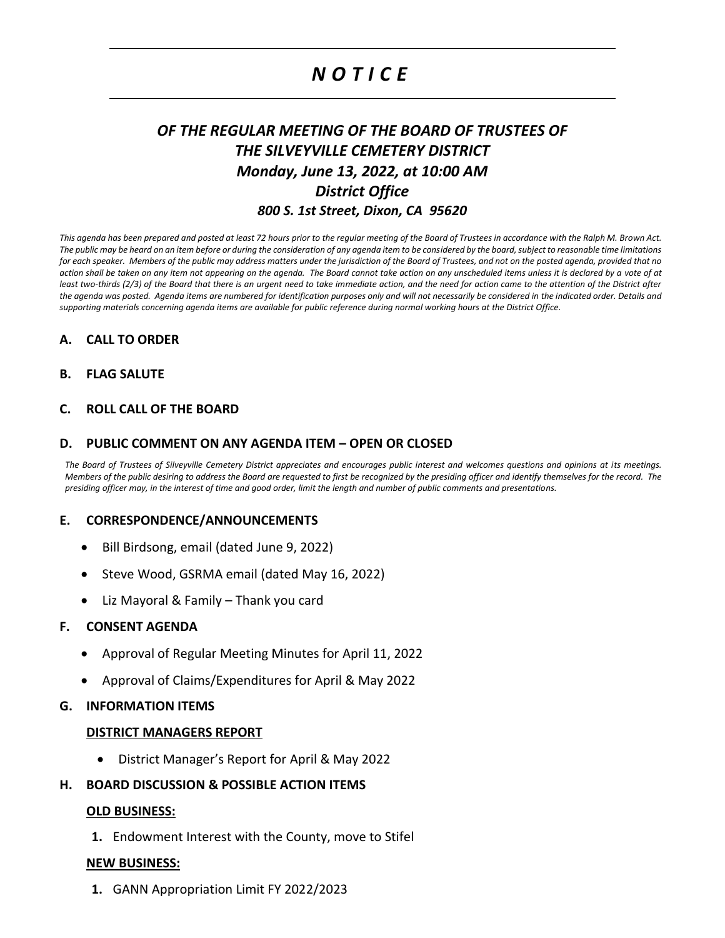# *N O T I C E*

## *OF THE REGULAR MEETING OF THE BOARD OF TRUSTEES OF THE SILVEYVILLE CEMETERY DISTRICT Monday, June 13, 2022, at 10:00 AM District Office 800 S. 1st Street, Dixon, CA 95620*

*This agenda has been prepared and posted at least 72 hours prior to the regular meeting of the Board of Trustees in accordance with the Ralph M. Brown Act. The public may be heard on an item before or during the consideration of any agenda item to be considered by the board, subject to reasonable time limitations for each speaker. Members of the public may address matters under the jurisdiction of the Board of Trustees, and not on the posted agenda, provided that no action shall be taken on any item not appearing on the agenda. The Board cannot take action on any unscheduled items unless it is declared by a vote of at least two-thirds (2/3) of the Board that there is an urgent need to take immediate action, and the need for action came to the attention of the District after the agenda was posted. Agenda items are numbered for identification purposes only and will not necessarily be considered in the indicated order. Details and supporting materials concerning agenda items are available for public reference during normal working hours at the District Office.*

## **A. CALL TO ORDER**

## **B. FLAG SALUTE**

## **C. ROLL CALL OF THE BOARD**

#### **D. PUBLIC COMMENT ON ANY AGENDA ITEM – OPEN OR CLOSED**

*The Board of Trustees of Silveyville Cemetery District appreciates and encourages public interest and welcomes questions and opinions at its meetings. Members of the public desiring to address the Board are requested to first be recognized by the presiding officer and identify themselves for the record. The presiding officer may, in the interest of time and good order, limit the length and number of public comments and presentations.*

#### **E. CORRESPONDENCE/ANNOUNCEMENTS**

- Bill Birdsong, email (dated June 9, 2022)
- Steve Wood, GSRMA email (dated May 16, 2022)
- Liz Mayoral & Family Thank you card

#### **F. CONSENT AGENDA**

- Approval of Regular Meeting Minutes for April 11, 2022
- Approval of Claims/Expenditures for April & May 2022

#### **G. INFORMATION ITEMS**

#### **DISTRICT MANAGERS REPORT**

• District Manager's Report for April & May 2022

#### **H. BOARD DISCUSSION & POSSIBLE ACTION ITEMS**

#### **OLD BUSINESS:**

**1.** Endowment Interest with the County, move to Stifel

#### **NEW BUSINESS:**

**1.** GANN Appropriation Limit FY 2022/2023